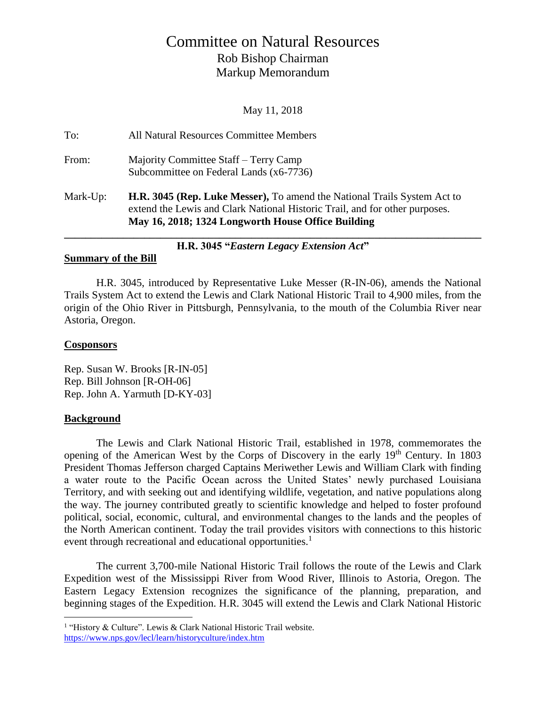# Committee on Natural Resources Rob Bishop Chairman Markup Memorandum

May 11, 2018

| H.R. 3045 "Eastern Legacy Extension Act" |                                                                                                                                                                                                                      |
|------------------------------------------|----------------------------------------------------------------------------------------------------------------------------------------------------------------------------------------------------------------------|
| Mark-Up:                                 | <b>H.R. 3045 (Rep. Luke Messer), To amend the National Trails System Act to</b><br>extend the Lewis and Clark National Historic Trail, and for other purposes.<br>May 16, 2018; 1324 Longworth House Office Building |
| From:                                    | Majority Committee Staff – Terry Camp<br>Subcommittee on Federal Lands (x6-7736)                                                                                                                                     |
| To:                                      | All Natural Resources Committee Members                                                                                                                                                                              |

#### **Summary of the Bill**

H.R. 3045, introduced by Representative Luke Messer (R-IN-06), amends the National Trails System Act to extend the Lewis and Clark National Historic Trail to 4,900 miles, from the origin of the Ohio River in Pittsburgh, Pennsylvania, to the mouth of the Columbia River near Astoria, Oregon.

### **Cosponsors**

Rep. Susan W. Brooks [R-IN-05] Rep. Bill Johnson [R-OH-06] Rep. John A. Yarmuth [D-KY-03]

### **Background**

 $\overline{a}$ 

The Lewis and Clark National Historic Trail, established in 1978, commemorates the opening of the American West by the Corps of Discovery in the early 19th Century. In 1803 President Thomas Jefferson charged Captains Meriwether Lewis and William Clark with finding a water route to the Pacific Ocean across the United States' newly purchased Louisiana Territory, and with seeking out and identifying wildlife, vegetation, and native populations along the way. The journey contributed greatly to scientific knowledge and helped to foster profound political, social, economic, cultural, and environmental changes to the lands and the peoples of the North American continent. Today the trail provides visitors with connections to this historic event through recreational and educational opportunities.<sup>1</sup>

The current 3,700-mile National Historic Trail follows the route of the Lewis and Clark Expedition west of the Mississippi River from Wood River, Illinois to Astoria, Oregon. The Eastern Legacy Extension recognizes the significance of the planning, preparation, and beginning stages of the Expedition. H.R. 3045 will extend the Lewis and Clark National Historic

<sup>&</sup>lt;sup>1</sup> "History & Culture". Lewis & Clark National Historic Trail website. <https://www.nps.gov/lecl/learn/historyculture/index.htm>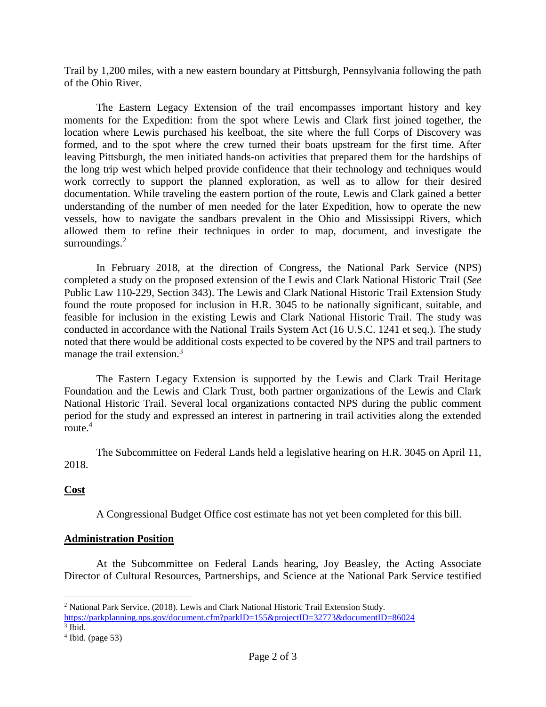Trail by 1,200 miles, with a new eastern boundary at Pittsburgh, Pennsylvania following the path of the Ohio River.

The Eastern Legacy Extension of the trail encompasses important history and key moments for the Expedition: from the spot where Lewis and Clark first joined together, the location where Lewis purchased his keelboat, the site where the full Corps of Discovery was formed, and to the spot where the crew turned their boats upstream for the first time. After leaving Pittsburgh, the men initiated hands-on activities that prepared them for the hardships of the long trip west which helped provide confidence that their technology and techniques would work correctly to support the planned exploration, as well as to allow for their desired documentation. While traveling the eastern portion of the route, Lewis and Clark gained a better understanding of the number of men needed for the later Expedition, how to operate the new vessels, how to navigate the sandbars prevalent in the Ohio and Mississippi Rivers, which allowed them to refine their techniques in order to map, document, and investigate the surroundings.<sup>2</sup>

In February 2018, at the direction of Congress, the National Park Service (NPS) completed a study on the proposed extension of the Lewis and Clark National Historic Trail (*See*  Public Law 110-229, Section 343). The Lewis and Clark National Historic Trail Extension Study found the route proposed for inclusion in H.R. 3045 to be nationally significant, suitable, and feasible for inclusion in the existing Lewis and Clark National Historic Trail. The study was conducted in accordance with the National Trails System Act (16 U.S.C. 1241 et seq.). The study noted that there would be additional costs expected to be covered by the NPS and trail partners to manage the trail extension.<sup>3</sup>

The Eastern Legacy Extension is supported by the Lewis and Clark Trail Heritage Foundation and the Lewis and Clark Trust, both partner organizations of the Lewis and Clark National Historic Trail. Several local organizations contacted NPS during the public comment period for the study and expressed an interest in partnering in trail activities along the extended route.<sup>4</sup>

The Subcommittee on Federal Lands held a legislative hearing on H.R. 3045 on April 11, 2018.

## **Cost**

 $\overline{a}$ 

A Congressional Budget Office cost estimate has not yet been completed for this bill.

### **Administration Position**

At the Subcommittee on Federal Lands hearing, Joy Beasley, the Acting Associate Director of Cultural Resources, Partnerships, and Science at the National Park Service testified

<sup>2</sup> National Park Service. (2018). Lewis and Clark National Historic Trail Extension Study.

<https://parkplanning.nps.gov/document.cfm?parkID=155&projectID=32773&documentID=86024> 3 Ibid.

 $4$  Ibid. (page 53)